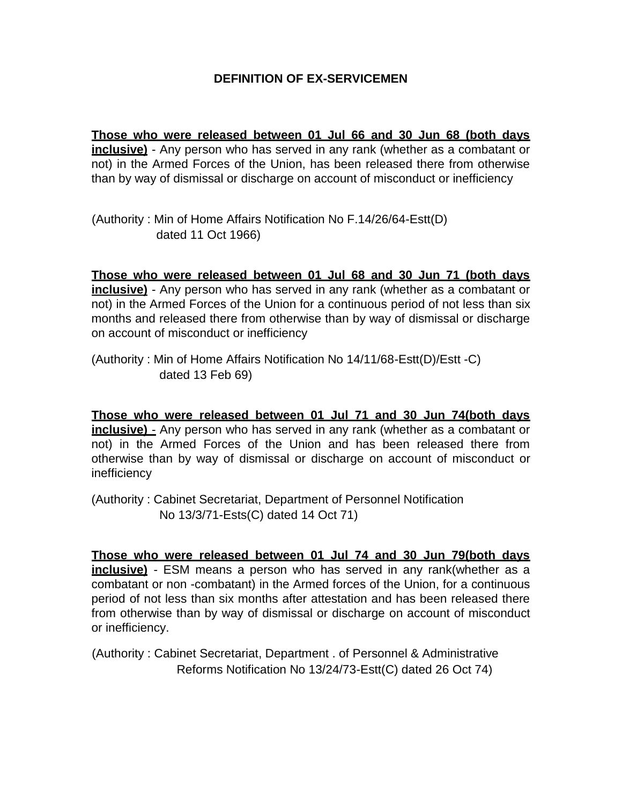# **DEFINITION OF EX-SERVICEMEN**

**Those who were released between 01 Jul 66 and 30 Jun 68 (both days inclusive)** - Any person who has served in any rank (whether as a combatant or not) in the Armed Forces of the Union, has been released there from otherwise than by way of dismissal or discharge on account of misconduct or inefficiency

(Authority : Min of Home Affairs Notification No F.14/26/64-Estt(D) dated 11 Oct 1966)

**Those who were released between 01 Jul 68 and 30 Jun 71 (both days inclusive)** - Any person who has served in any rank (whether as a combatant or not) in the Armed Forces of the Union for a continuous period of not less than six months and released there from otherwise than by way of dismissal or discharge on account of misconduct or inefficiency

(Authority : Min of Home Affairs Notification No 14/11/68-Estt(D)/Estt -C) dated 13 Feb 69)

**Those who were released between 01 Jul 71 and 30 Jun 74(both days inclusive)** - Any person who has served in any rank (whether as a combatant or not) in the Armed Forces of the Union and has been released there from otherwise than by way of dismissal or discharge on account of misconduct or inefficiency

(Authority : Cabinet Secretariat, Department of Personnel Notification No 13/3/71-Ests(C) dated 14 Oct 71)

**Those who were released between 01 Jul 74 and 30 Jun 79(both days inclusive)** - ESM means a person who has served in any rank(whether as a combatant or non -combatant) in the Armed forces of the Union, for a continuous period of not less than six months after attestation and has been released there from otherwise than by way of dismissal or discharge on account of misconduct or inefficiency.

(Authority : Cabinet Secretariat, Department . of Personnel & Administrative Reforms Notification No 13/24/73-Estt(C) dated 26 Oct 74)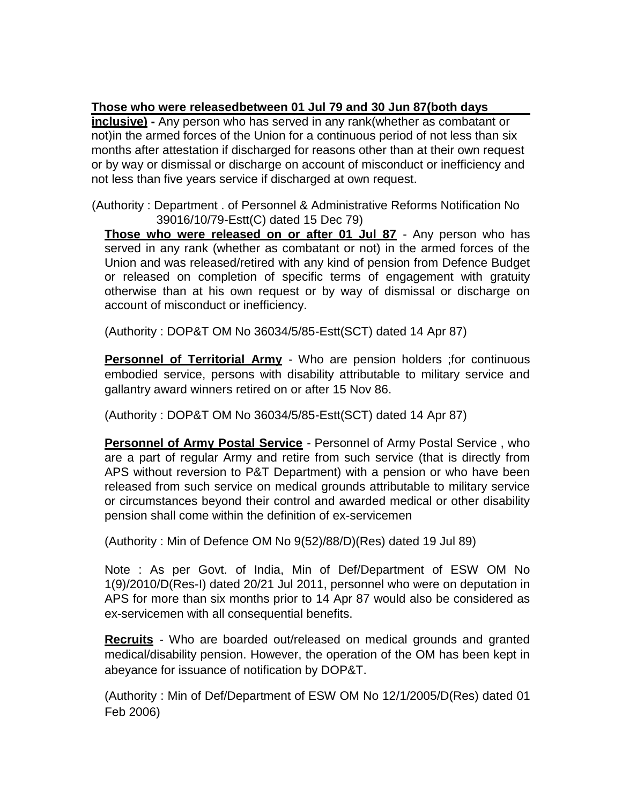# **Those who were releasedbetween 01 Jul 79 and 30 Jun 87(both days**

**inclusive) -** Any person who has served in any rank(whether as combatant or not)in the armed forces of the Union for a continuous period of not less than six months after attestation if discharged for reasons other than at their own request or by way or dismissal or discharge on account of misconduct or inefficiency and not less than five years service if discharged at own request.

(Authority : Department . of Personnel & Administrative Reforms Notification No 39016/10/79-Estt(C) dated 15 Dec 79)

Those who were released on or after 01 Jul 87 - Any person who has served in any rank (whether as combatant or not) in the armed forces of the Union and was released/retired with any kind of pension from Defence Budget or released on completion of specific terms of engagement with gratuity otherwise than at his own request or by way of dismissal or discharge on account of misconduct or inefficiency.

(Authority : DOP&T OM No 36034/5/85-Estt(SCT) dated 14 Apr 87)

**Personnel of Territorial Army** - Who are pension holders ; for continuous embodied service, persons with disability attributable to military service and gallantry award winners retired on or after 15 Nov 86.

(Authority : DOP&T OM No 36034/5/85-Estt(SCT) dated 14 Apr 87)

**Personnel of Army Postal Service** - Personnel of Army Postal Service, who are a part of regular Army and retire from such service (that is directly from APS without reversion to P&T Department) with a pension or who have been released from such service on medical grounds attributable to military service or circumstances beyond their control and awarded medical or other disability pension shall come within the definition of ex-servicemen

(Authority : Min of Defence OM No 9(52)/88/D)(Res) dated 19 Jul 89)

Note : As per Govt. of India, Min of Def/Department of ESW OM No 1(9)/2010/D(Res-I) dated 20/21 Jul 2011, personnel who were on deputation in APS for more than six months prior to 14 Apr 87 would also be considered as ex-servicemen with all consequential benefits.

**Recruits** - Who are boarded out/released on medical grounds and granted medical/disability pension. However, the operation of the OM has been kept in abeyance for issuance of notification by DOP&T.

(Authority : Min of Def/Department of ESW OM No 12/1/2005/D(Res) dated 01 Feb 2006)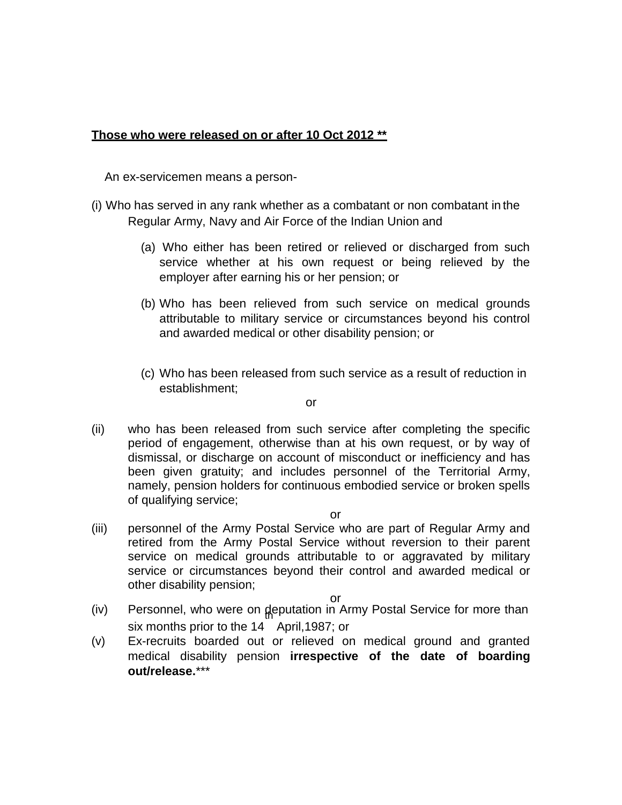# **Those who were released on or after 10 Oct 2012 \*\***

An ex-servicemen means a person-

- (i) Who has served in any rank whether as a combatant or non combatant in the Regular Army, Navy and Air Force of the Indian Union and
	- (a) Who either has been retired or relieved or discharged from such service whether at his own request or being relieved by the employer after earning his or her pension; or
	- (b) Who has been relieved from such service on medical grounds attributable to military service or circumstances beyond his control and awarded medical or other disability pension; or
	- (c) Who has been released from such service as a result of reduction in establishment;

or

(ii) who has been released from such service after completing the specific period of engagement, otherwise than at his own request, or by way of dismissal, or discharge on account of misconduct or inefficiency and has been given gratuity; and includes personnel of the Territorial Army, namely, pension holders for continuous embodied service or broken spells of qualifying service;

or

(iii) personnel of the Army Postal Service who are part of Regular Army and retired from the Army Postal Service without reversion to their parent service on medical grounds attributable to or aggravated by military service or circumstances beyond their control and awarded medical or other disability pension;

or

- (iv) Personnel, who were on deputation in Army Postal Service for more than six months prior to the 14 April,1987; or
- (v) Ex-recruits boarded out or relieved on medical ground and granted medical disability pension **irrespective of the date of boarding out/release.**\*\*\*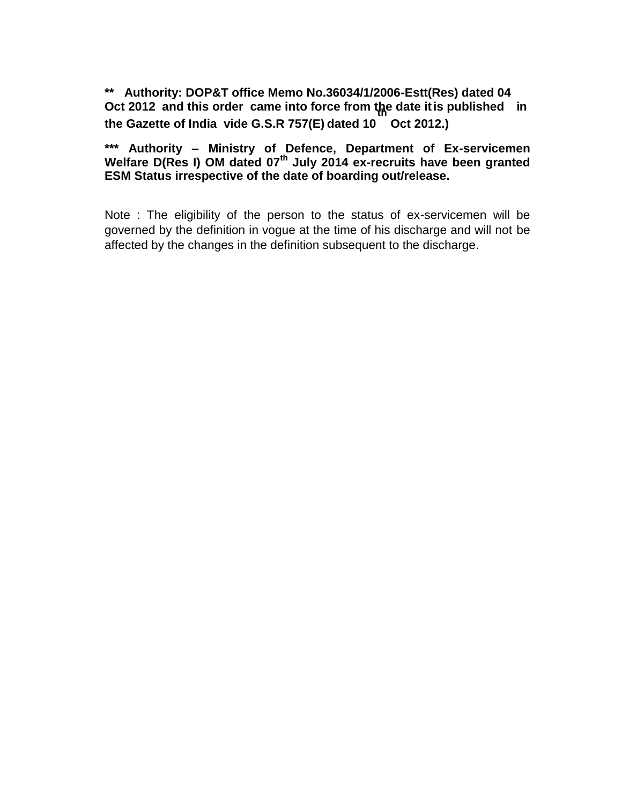**\*\* Authority: DOP&T office Memo No.36034/1/2006-Estt(Res) dated 04 Oct 2012 and this order came into force from the date itis published in th the Gazette of India vide G.S.R 757(E) dated 10 Oct 2012.)**

**\*\*\* Authority – Ministry of Defence, Department of Ex-servicemen Welfare D(Res I) OM dated 07th July 2014 ex-recruits have been granted ESM Status irrespective of the date of boarding out/release.**

Note : The eligibility of the person to the status of ex-servicemen will be governed by the definition in vogue at the time of his discharge and will not be affected by the changes in the definition subsequent to the discharge.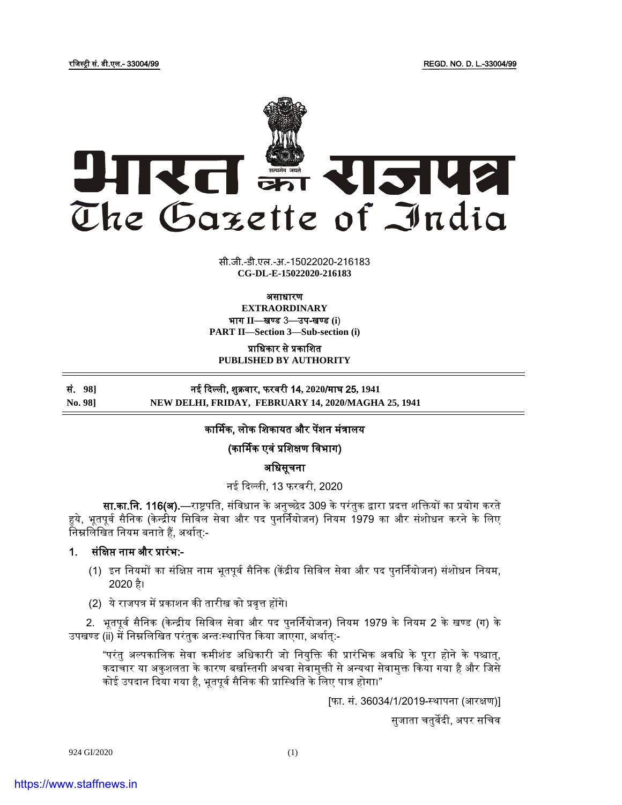

सी.जी.-डी.एल.-अ.-15022020-216183 **xxxGIDExxx CG-DL-E-15022020-216183**

असाधारण

**EXTRAORDINARY** भाग **II**—खण् ड 3—उप-खण् ड **(i**)

**PART II—Section 3—Sub-section (i)**

प्राजधकार से प्रकाजित **PUBLISHED BY AUTHORITY**

सं. **98]** नई दिल्ली, िुक्रवार, फरवरी 14**, 2020**/माघ 25**, 1941 No. 98] NEW DELHI, FRIDAY, FEBRUARY 14, 2020/MAGHA 25, 1941**

## कार्मिक, लोक शिकायत और पेंशन मंत्रालय

(कार्मिक एवं प्रजिक्षण जवभाग)

अजधसूचना

नई दिल्ली, 13 फरवरी, 2020

सा.का.नि. 116(अ).—राष्ट्रपति, संविधान के अनुच्छेद 309 के परंतुक द्वारा प्रदत्त शक्तियों का प्रयोग करते हये, भूतपूर्व सैनिक (केन्द्रीय सिविल सेवा और पद पुनर्नियोजन) नियम 1979 का और संशोधन करने के लिए निम्नलिखित नियम बनाते हैं, अर्थात्:-

## 1. संजक्षप्त नाम और प्रारंभ:-

- (1) इन नियमों का संक्षिप्त नाम भूतपूर्व सैनिक (केंद्रीय सिविल सेवा और पद पुनर्नियोजन) संशोधन नियम, 2020 है।
- (2) ये राजपत्र में प्रकाशन की तारीख को प्रवृत्त होंगे।

2. भूतपूर्व सैनिक (केन्द्रीय सिविल सेवा और पद पुनर्नियोजन) नियम 1979 के नियम 2 के खण्ड (ग) के उपखण्ड (ii) में निम्नलिखित परंतुक अन्तःस्थापित किया जाएगा, अर्थात:-

"परंतु अल्पकालिक सेवा कमीशंड अधिकारी जो नियक्ति की प्रारंभिक अवधि के पूरा होने के पश्चात्, कदाचार या अकुशलता के कारण बर्खास्तगी अथवा सेवामुक्ती से अन्यथा सेवामुक्त किया गया है और जिसे कोई उपदान दिया गया है, भूतपूर्व सैनिक की प्रास्थिति के लिए पात्र होगा।"

[फा. सं. 36034/1/2019-स्ट्र्ापना (आरक्षण)]

सुजाता चतुर्वेदी, अपर सचिव

924 GI/2020 (1)